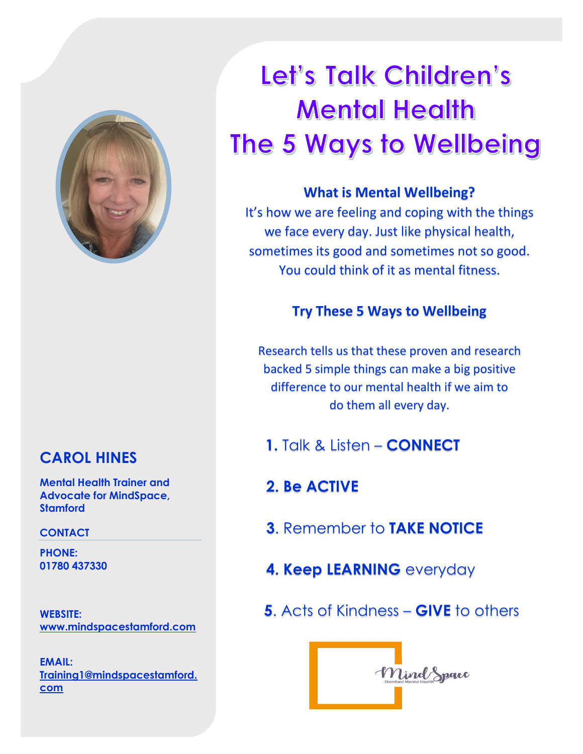

## **CAROL HINES**

**Mental Health Trainer and Advocate for MindSpace, Stamford**

#### **CONTACT**

**PHONE: 01780 437330**

**WEBSITE: [www.mindspacestamford.com](http://www.mindspacestamford.com/)**

**EMAIL: [Training1@mindspacestamford.](mailto:Training1@mindspacestamford.com) [com](mailto:Training1@mindspacestamford.com)**

# Let's Talk Children's **Mental Health** The 5 Ways to Wellbeing

## **What is Mental Wellbeing?**

It's how we are feeling and coping with the things we face every day. Just like physical health, sometimes its good and sometimes not so good. You could think of it as mental fitness.

## **Try These 5 Ways to Wellbeing**

Research tells us that these proven and research backed 5 simple things can make a big positive difference to our mental health if we aim to do them all every day.

**1.** Talk & Listen – **CONNECT**

## **2. Be ACTIVE**

- **3**. Remember to **TAKE NOTICE**
- **4. Keep LEARNING** everyday
- **5**. Acts of Kindness **GIVE** to others

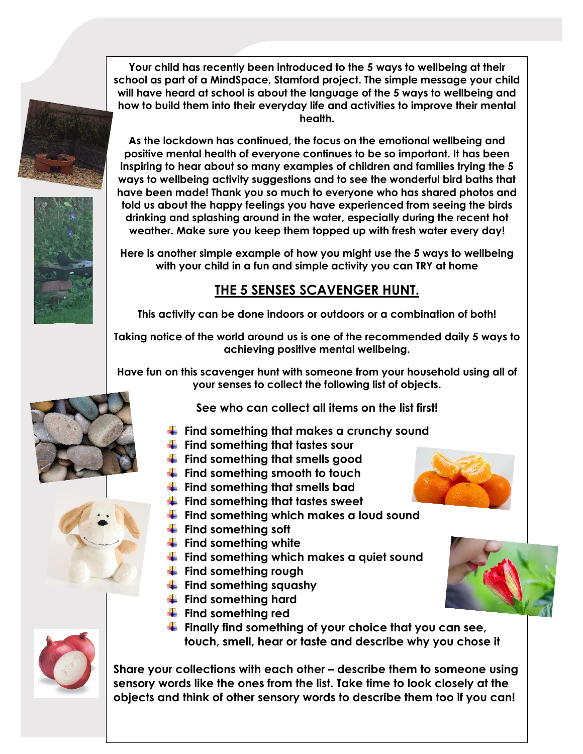**Your child has recently been introduced to the 5 ways to wellbeing at their school as part of a MindSpace, Stamford project. The simple message your child will have heard at school is about the language of the 5 ways to wellbeing and how to build them into their everyday life and activities to improve their mental health.**

**As the lockdown has continued, the focus on the emotional wellbeing and positive mental health of everyone continues to be so important. It has been inspiring to hear about so many examples of children and families trying the 5 ways to wellbeing activity suggestions and to see the wonderful bird baths that have been made! Thank you so much to everyone who has shared photos and told us about the happy feelings you have experienced from seeing the birds drinking and splashing around in the water, especially during the recent hot weather. Make sure you keep them topped up with fresh water every day!**

**Here is another simple example of how you might use the 5 ways to wellbeing with your child in a fun and simple activity you can TRY at home**

## **THE 5 SENSES SCAVENGER HUNT.**

**This activity can be done indoors or outdoors or a combination of both!**

**Taking notice of the world around us is one of the recommended daily 5 ways to achieving positive mental wellbeing.** 

**Have fun on this scavenger hunt with someone from your household using all of your senses to collect the following list of objects.** 

**See who can collect all items on the list first!** 

- **Find something that makes a crunchy sound**
- **Find something that tastes sour**
- **Find something that smells good**
- **Find something smooth to touch**
- **Find something that smells bad**
- **Find something that tastes sweet**
- **Find something which makes a loud sound**
- **Find something soft**
- **Find something white**
- **Find something which makes a quiet sound**
- **Find something rough**
- **Find something squashy**
- **Find something hard**
- **Find something red**
- **Finally find something of your choice that you can see, touch, smell, hear or taste and describe why you chose it**

**Share your collections with each other – describe them to someone using sensory words like the ones from the list. Take time to look closely at the objects and think of other sensory words to describe them too if you can!**

















![](_page_1_Picture_32.jpeg)